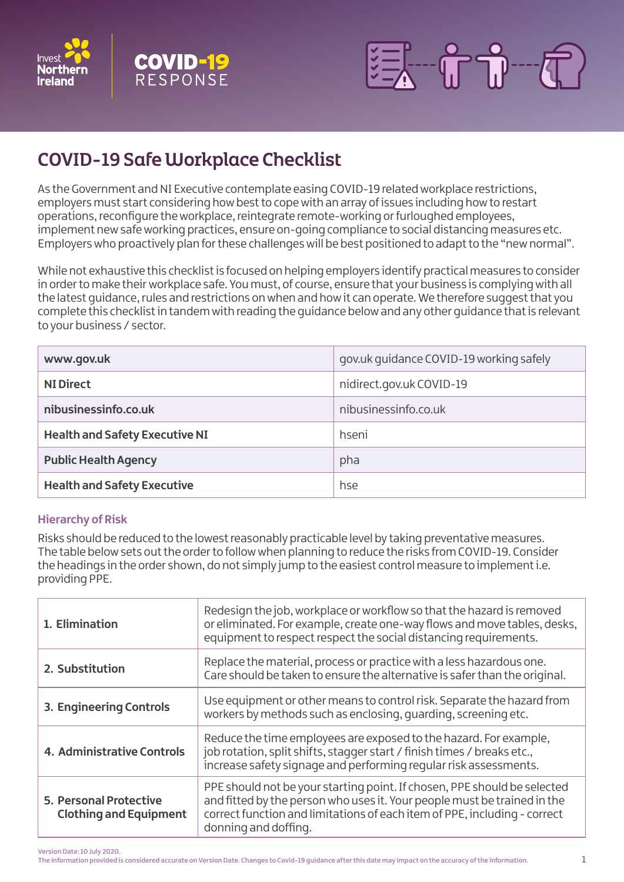





# COVID-19 Safe Workplace Checklist

As the Government and NI Executive contemplate easing COVID-19 related workplace restrictions, employers must start considering how best to cope with an array of issues including how to restart operations, reconfigure the workplace, reintegrate remote-working or furloughed employees, implement new safe working practices, ensure on-going compliance to social distancing measures etc. Employers who proactively plan for these challenges will be best positioned to adapt to the "new normal".

While not exhaustive this checklist is focused on helping employers identify practical measures to consider in order to make their workplace safe. You must, of course, ensure that your business is complying with all the latest guidance, rules and restrictions on when and how it can operate. We therefore suggest that you complete this checklist in tandem with reading the guidance below and any other guidance that is relevant to your business / sector.

| www.gov.uk                            | gov.uk guidance COVID-19 working safely |
|---------------------------------------|-----------------------------------------|
| <b>NI Direct</b>                      | nidirect.gov.uk COVID-19                |
| nibusinessinfo.co.uk                  | nibusinessinfo.co.uk                    |
| <b>Health and Safety Executive NI</b> | hseni                                   |
| <b>Public Health Agency</b>           | pha                                     |
| <b>Health and Safety Executive</b>    | hse                                     |

# **Hierarchy of Risk**

Risks should be reduced to the lowest reasonably practicable level by taking preventative measures. The table below sets out the order to follow when planning to reduce the risks from COVID-19. Consider the headings in the order shown, do not simply jump to the easiest control measure to implement i.e. providing PPE.

| 1. Elimination                                                 | Redesign the job, workplace or workflow so that the hazard is removed<br>or eliminated. For example, create one-way flows and move tables, desks,<br>equipment to respect respect the social distancing requirements.                                     |
|----------------------------------------------------------------|-----------------------------------------------------------------------------------------------------------------------------------------------------------------------------------------------------------------------------------------------------------|
| 2. Substitution                                                | Replace the material, process or practice with a less hazardous one.<br>Care should be taken to ensure the alternative is safer than the original.                                                                                                        |
| 3. Engineering Controls                                        | Use equipment or other means to control risk. Separate the hazard from<br>workers by methods such as enclosing, quarding, screening etc.                                                                                                                  |
| 4. Administrative Controls                                     | Reduce the time employees are exposed to the hazard. For example,<br>job rotation, split shifts, stagger start / finish times / breaks etc.,<br>increase safety signage and performing regular risk assessments.                                          |
| <b>5. Personal Protective</b><br><b>Clothing and Equipment</b> | PPE should not be your starting point. If chosen, PPE should be selected<br>and fitted by the person who uses it. Your people must be trained in the<br>correct function and limitations of each item of PPE, including - correct<br>donning and doffing. |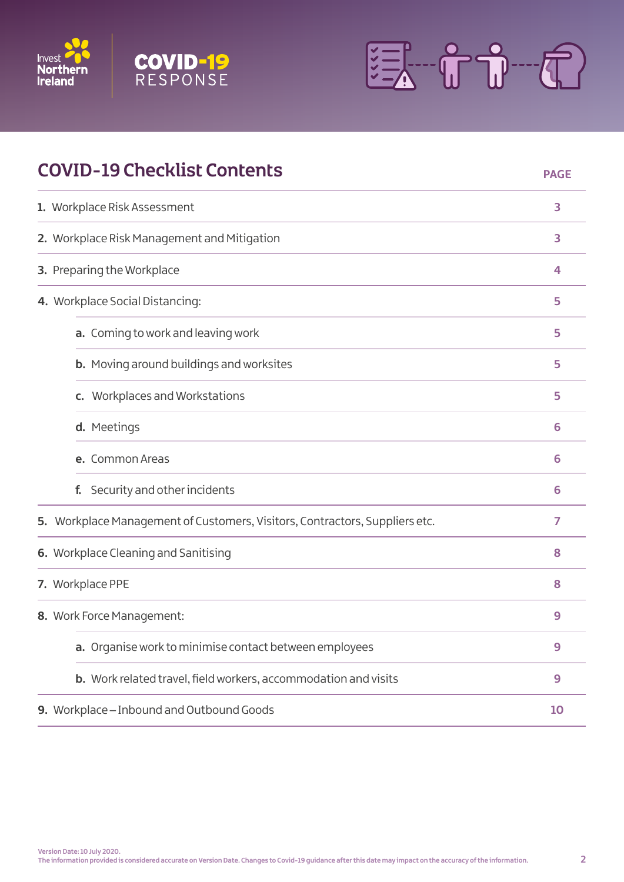





| <b>COVID-19 Checklist Contents</b>                                          | <b>PAGE</b> |
|-----------------------------------------------------------------------------|-------------|
| 1. Workplace Risk Assessment                                                | 3           |
| 2. Workplace Risk Management and Mitigation                                 | 3           |
| 3. Preparing the Workplace                                                  | 4           |
| 4. Workplace Social Distancing:                                             | 5           |
| a. Coming to work and leaving work                                          | 5           |
| <b>b.</b> Moving around buildings and worksites                             | 5           |
| c. Workplaces and Workstations                                              | 5           |
| d. Meetings                                                                 | 6           |
| e. Common Areas                                                             | 6           |
| Security and other incidents<br>f.                                          | 6           |
| 5. Workplace Management of Customers, Visitors, Contractors, Suppliers etc. | 7           |
| 6. Workplace Cleaning and Sanitising                                        | 8           |
| 7. Workplace PPE                                                            | 8           |
| 8. Work Force Management:                                                   | 9           |
| a. Organise work to minimise contact between employees                      | 9           |
| b. Work related travel, field workers, accommodation and visits             | 9           |
| 9. Workplace - Inbound and Outbound Goods                                   | 10          |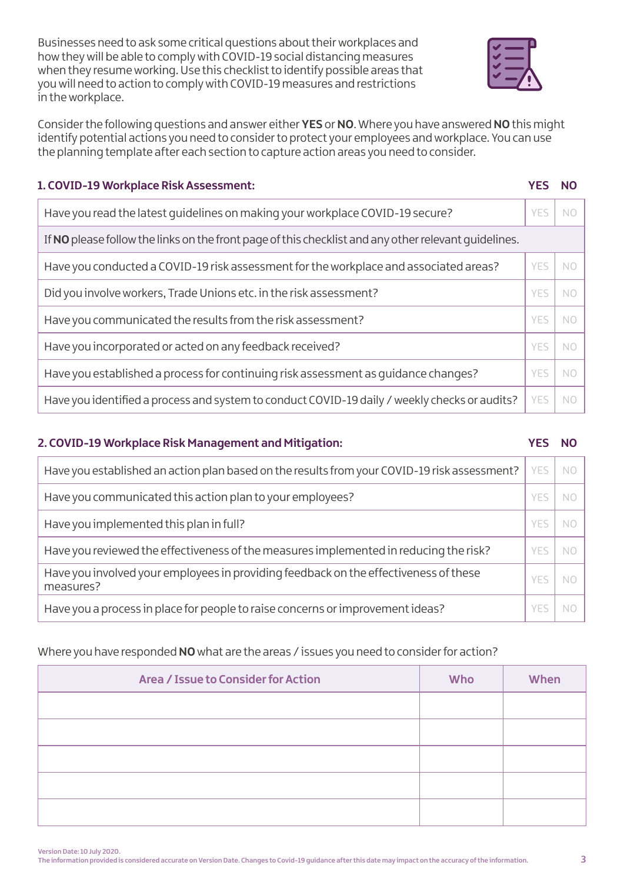Businesses need to ask some critical questions about their workplaces and how they will be able to comply with COVID-19 social distancing measures when they resume working. Use this checklist to identify possible areas that you will need to action to comply with COVID-19 measures and restrictions in the workplace.



Consider the following questions and answer either **YES** or **NO**. Where you have answered **NO** this might identify potential actions you need to consider to protect your employees and workplace. You can use the planning template after each section to capture action areas you need to consider.

# **1. COVID-19 Workplace Risk Assessment: YES NO**

| Have you read the latest quidelines on making your workplace COVID-19 secure?                        | YFS        | N0  |
|------------------------------------------------------------------------------------------------------|------------|-----|
| If NO please follow the links on the front page of this checklist and any other relevant quidelines. |            |     |
| Have you conducted a COVID-19 risk assessment for the workplace and associated areas?                | <b>YFS</b> | NС  |
| Did you involve workers, Trade Unions etc. in the risk assessment?                                   | YFS        | NC  |
| Have you communicated the results from the risk assessment?                                          | YFS        | NO. |
| Have you incorporated or acted on any feedback received?                                             | YFS        | NO. |
| Have you established a process for continuing risk assessment as quidance changes?                   | YFS        | N0  |
| Have you identified a process and system to conduct COVID-19 daily / weekly checks or audits?        | YES        | N0  |

# **2. COVID-19 Workplace Risk Management and Mitigation: YES NO**

| Have you established an action plan based on the results from your COVID-19 risk assessment?      | YES        | NO  |
|---------------------------------------------------------------------------------------------------|------------|-----|
| Have you communicated this action plan to your employees?                                         | YFS        | NC  |
| Have you implemented this plan in full?                                                           | <b>YES</b> | NС  |
| Have you reviewed the effectiveness of the measures implemented in reducing the risk?             | <b>YES</b> | NC  |
| Have you involved your employees in providing feedback on the effectiveness of these<br>measures? | YFS        | ΝC  |
| Have you a process in place for people to raise concerns or improvement ideas?                    | YF'        | N ( |

# Where you have responded **NO** what are the areas / issues you need to consider for action?

| Area / Issue to Consider for Action | Who | When |
|-------------------------------------|-----|------|
|                                     |     |      |
|                                     |     |      |
|                                     |     |      |
|                                     |     |      |
|                                     |     |      |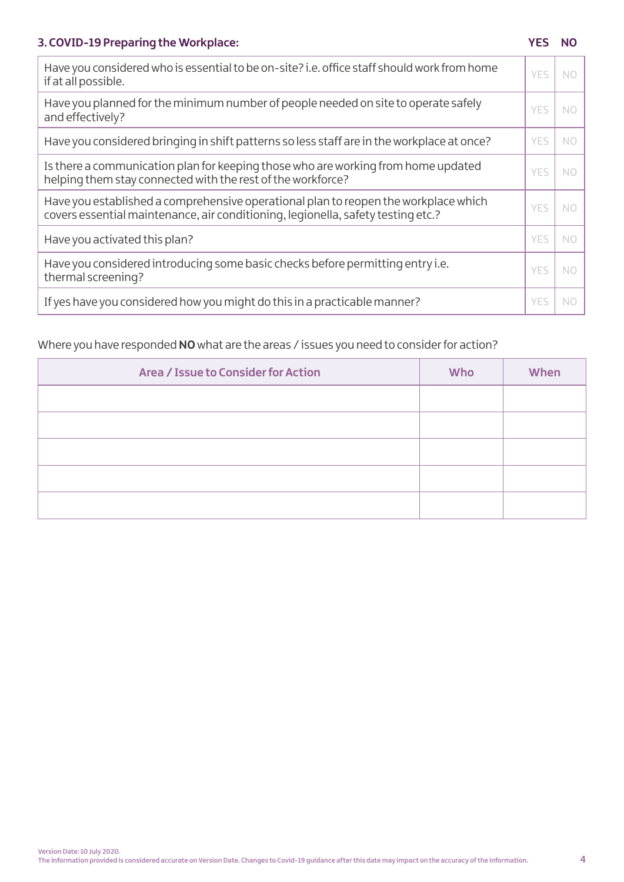# **3. COVID-19 Preparing the Workplace: YES NO**

| Have you considered who is essential to be on-site? i.e. office staff should work from home<br>if at all possible.                                                      | <b>YES</b> | N0 |
|-------------------------------------------------------------------------------------------------------------------------------------------------------------------------|------------|----|
| Have you planned for the minimum number of people needed on site to operate safely<br>and effectively?                                                                  | YFS        | NO |
| Have you considered bringing in shift patterns so less staff are in the workplace at once?                                                                              | <b>YES</b> | NO |
| Is there a communication plan for keeping those who are working from home updated<br>helping them stay connected with the rest of the workforce?                        | YFS        | NO |
| Have you established a comprehensive operational plan to reopen the workplace which<br>covers essential maintenance, air conditioning, legionella, safety testing etc.? | YFS        | N0 |
| Have you activated this plan?                                                                                                                                           | <b>YES</b> | N0 |
| Have you considered introducing some basic checks before permitting entry i.e.<br>thermal screening?                                                                    | YFS        | N0 |
| If yes have you considered how you might do this in a practicable manner?                                                                                               | <b>YES</b> | N0 |

# Where you have responded **NO** what are the areas / issues you need to consider for action?

| Area / Issue to Consider for Action | <b>Who</b> | When |
|-------------------------------------|------------|------|
|                                     |            |      |
|                                     |            |      |
|                                     |            |      |
|                                     |            |      |
|                                     |            |      |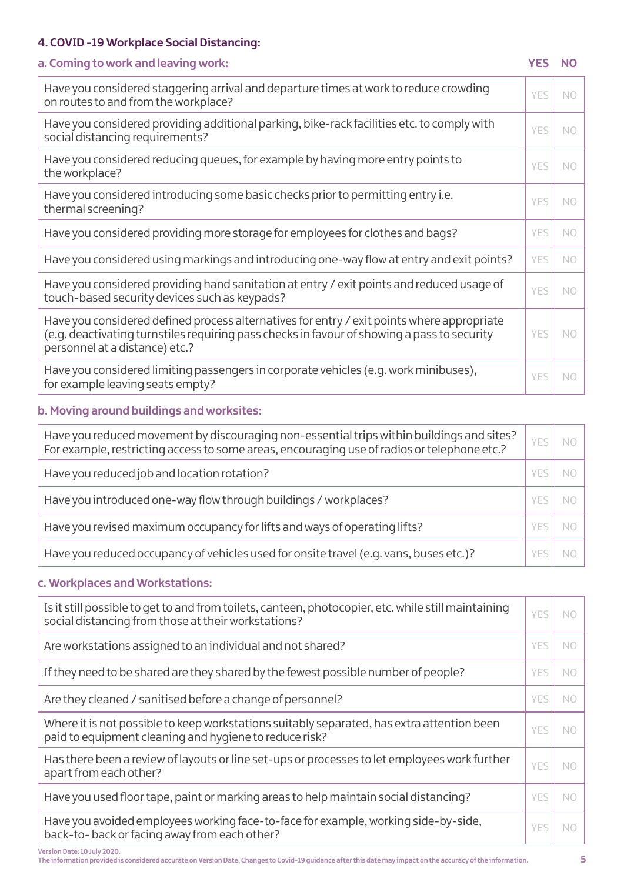# **4. COVID -19 Workplace Social Distancing:**

# **a. Coming to work and leaving work: YES NO**

| Have you considered staggering arrival and departure times at work to reduce crowding<br>on routes to and from the workplace?                                                                                               | YES  | NO.            |
|-----------------------------------------------------------------------------------------------------------------------------------------------------------------------------------------------------------------------------|------|----------------|
| Have you considered providing additional parking, bike-rack facilities etc. to comply with<br>social distancing requirements?                                                                                               | YES  | N <sub>O</sub> |
| Have you considered reducing queues, for example by having more entry points to<br>the workplace?                                                                                                                           | YES  | N <sub>O</sub> |
| Have you considered introducing some basic checks prior to permitting entry i.e.<br>thermal screening?                                                                                                                      | YES. | N <sub>O</sub> |
| Have you considered providing more storage for employees for clothes and bags?                                                                                                                                              | YES  | N <sub>O</sub> |
| Have you considered using markings and introducing one-way flow at entry and exit points?                                                                                                                                   | YES  | N <sub>O</sub> |
| Have you considered providing hand sanitation at entry / exit points and reduced usage of<br>touch-based security devices such as keypads?                                                                                  | YES  | N <sub>O</sub> |
| Have you considered defined process alternatives for entry / exit points where appropriate<br>(e.g. deactivating turnstiles requiring pass checks in favour of showing a pass to security<br>personnel at a distance) etc.? | YES  | N <sub>O</sub> |
| Have you considered limiting passengers in corporate vehicles (e.g. work minibuses),<br>for example leaving seats empty?                                                                                                    | YES  | NO             |

# **b. Moving around buildings and worksites:**

| Have you reduced movement by discouraging non-essential trips within buildings and sites?<br>For example, restricting access to some areas, encouraging use of radios or telephone etc.? | YES | NC |
|------------------------------------------------------------------------------------------------------------------------------------------------------------------------------------------|-----|----|
| Have you reduced job and location rotation?                                                                                                                                              |     |    |
| Have you introduced one-way flow through buildings / workplaces?                                                                                                                         |     |    |
| Have you revised maximum occupancy for lifts and ways of operating lifts?                                                                                                                |     |    |
| Have you reduced occupancy of vehicles used for onsite travel (e.g. vans, buses etc.)?                                                                                                   |     |    |

# **c. Workplaces and Workstations:**

| Is it still possible to get to and from toilets, canteen, photocopier, etc. while still maintaining<br>social distancing from those at their workstations? | YES        | NС        |
|------------------------------------------------------------------------------------------------------------------------------------------------------------|------------|-----------|
| Are workstations assigned to an individual and not shared?                                                                                                 | <b>YES</b> | <b>NC</b> |
| If they need to be shared are they shared by the fewest possible number of people?                                                                         | <b>YES</b> | NO        |
| Are they cleaned / sanitised before a change of personnel?                                                                                                 | <b>YES</b> | <b>NC</b> |
| Where it is not possible to keep workstations suitably separated, has extra attention been<br>paid to equipment cleaning and hygiene to reduce risk?       | YFS        | NO        |
| Has there been a review of layouts or line set-ups or processes to let employees work further<br>apart from each other?                                    | <b>YES</b> | NС        |
| Have you used floor tape, paint or marking areas to help maintain social distancing?                                                                       | <b>YES</b> | NO        |
| Have you avoided employees working face-to-face for example, working side-by-side,<br>back-to-back or facing away from each other?                         | <b>YES</b> | NС        |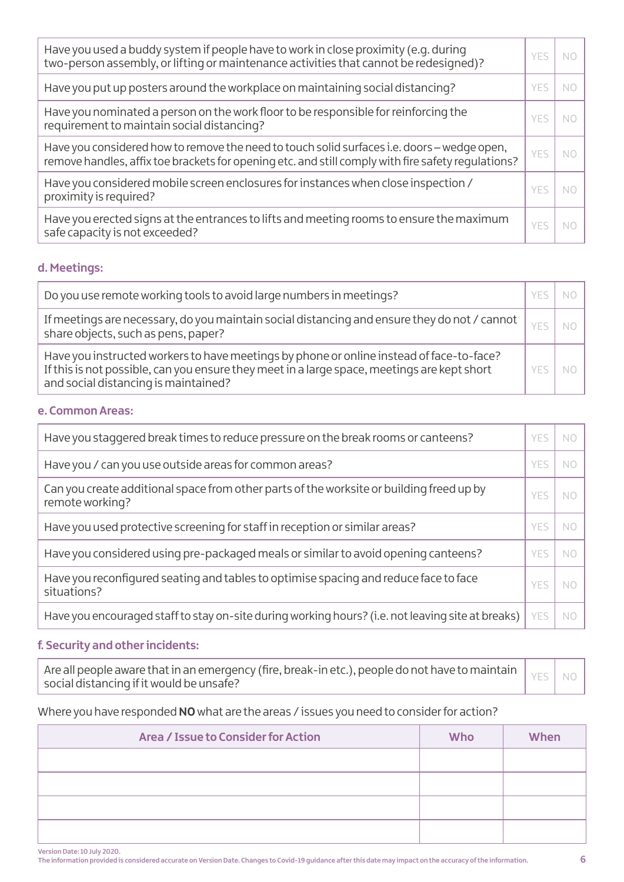| Have you used a buddy system if people have to work in close proximity (e.g. during<br>two-person assembly, or lifting or maintenance activities that cannot be redesigned)?                      | YFS | NO |
|---------------------------------------------------------------------------------------------------------------------------------------------------------------------------------------------------|-----|----|
| Have you put up posters around the workplace on maintaining social distancing?                                                                                                                    | YFS | NС |
| Have you nominated a person on the work floor to be responsible for reinforcing the<br>requirement to maintain social distancing?                                                                 | YFS | NС |
| Have you considered how to remove the need to touch solid surfaces i.e. doors – wedge open,<br>remove handles, affix toe brackets for opening etc. and still comply with fire safety regulations? | YFS | NΟ |
| Have you considered mobile screen enclosures for instances when close inspection /<br>proximity is required?                                                                                      | YFS | NС |
| Have you erected signs at the entrances to lifts and meeting rooms to ensure the maximum<br>safe capacity is not exceeded?                                                                        | YFS | NC |

# **d. Meetings:**

| Do you use remote working tools to avoid large numbers in meetings?                                                                                                                                                             |     |  |
|---------------------------------------------------------------------------------------------------------------------------------------------------------------------------------------------------------------------------------|-----|--|
| If meetings are necessary, do you maintain social distancing and ensure they do not / cannot $\parallel$<br>share objects, such as pens, paper?                                                                                 |     |  |
| Have you instructed workers to have meetings by phone or online instead of face-to-face?<br>If this is not possible, can you ensure they meet in a large space, meetings are kept short<br>and social distancing is maintained? | YFS |  |

# **e. Common Areas:**

| Have you staggered break times to reduce pressure on the break rooms or canteens?                           | YFS |    |
|-------------------------------------------------------------------------------------------------------------|-----|----|
| Have you / can you use outside areas for common areas?                                                      | YFS |    |
| Can you create additional space from other parts of the worksite or building freed up by<br>remote working? | YFS |    |
| Have you used protective screening for staff in reception or similar areas?                                 | YFS |    |
| Have you considered using pre-packaged meals or similar to avoid opening canteens?                          | YFS | NС |
| Have you reconfigured seating and tables to optimise spacing and reduce face to face<br>situations?         | YFS |    |
| Have you encouraged staff to stay on-site during working hours? (i.e. not leaving site at breaks)           | YES | NC |

# **f. Security and other incidents:**

| social distancing if it would be unsafe? |  |  |
|------------------------------------------|--|--|
|------------------------------------------|--|--|

# Where you have responded **NO** what are the areas / issues you need to consider for action?

| Area / Issue to Consider for Action | Who | When |
|-------------------------------------|-----|------|
|                                     |     |      |
|                                     |     |      |
|                                     |     |      |
|                                     |     |      |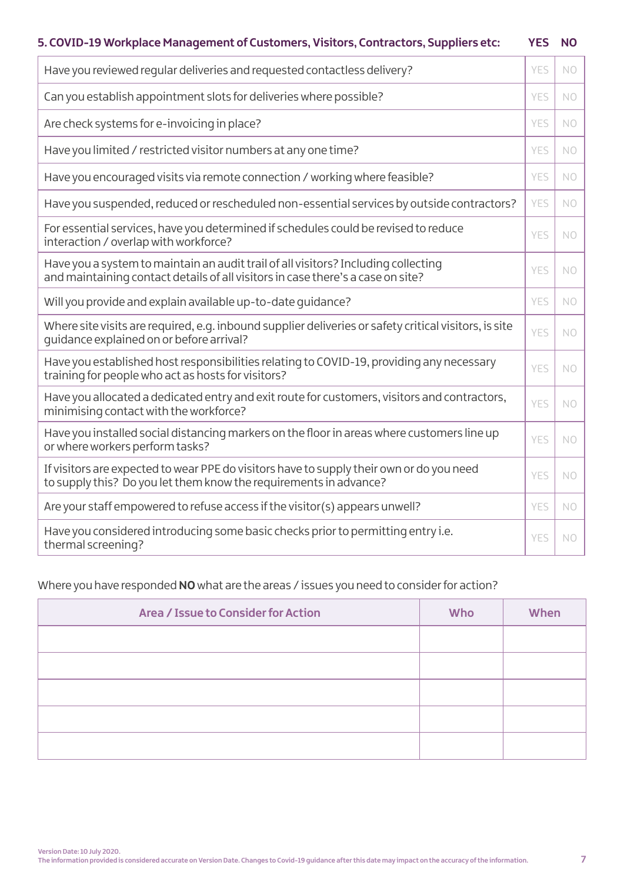# **5. COVID-19 Workplace Management of Customers, Visitors, Contractors, Suppliers etc: YES NO**

| Have you reviewed regular deliveries and requested contactless delivery?                                                                                              | YES | N <sub>O</sub> |
|-----------------------------------------------------------------------------------------------------------------------------------------------------------------------|-----|----------------|
| Can you establish appointment slots for deliveries where possible?                                                                                                    | YES | N <sub>O</sub> |
| Are check systems for e-invoicing in place?                                                                                                                           | YES | N <sub>O</sub> |
| Have you limited / restricted visitor numbers at any one time?                                                                                                        | YES | N <sub>O</sub> |
| Have you encouraged visits via remote connection / working where feasible?                                                                                            | YES | N <sub>O</sub> |
| Have you suspended, reduced or rescheduled non-essential services by outside contractors?                                                                             | YES | NO             |
| For essential services, have you determined if schedules could be revised to reduce<br>interaction / overlap with workforce?                                          | YES | N <sub>O</sub> |
| Have you a system to maintain an audit trail of all visitors? Including collecting<br>and maintaining contact details of all visitors in case there's a case on site? | YES | N <sub>O</sub> |
| Will you provide and explain available up-to-date quidance?                                                                                                           | YES | N <sub>O</sub> |
| Where site visits are required, e.g. inbound supplier deliveries or safety critical visitors, is site<br>quidance explained on or before arrival?                     | YES | N <sub>O</sub> |
| Have you established host responsibilities relating to COVID-19, providing any necessary<br>training for people who act as hosts for visitors?                        | YES | NO.            |
| Have you allocated a dedicated entry and exit route for customers, visitors and contractors,<br>minimising contact with the workforce?                                | YES | N <sub>O</sub> |
| Have you installed social distancing markers on the floor in areas where customers line up<br>or where workers perform tasks?                                         | YES | NO             |
| If visitors are expected to wear PPE do visitors have to supply their own or do you need<br>to supply this? Do you let them know the requirements in advance?         | YES | N <sub>O</sub> |
| Are your staff empowered to refuse access if the visitor(s) appears unwell?                                                                                           | YES | NO.            |
| Have you considered introducing some basic checks prior to permitting entry i.e.<br>thermal screening?                                                                | YES | NO             |

# Where you have responded **NO** what are the areas / issues you need to consider for action?

| Area / Issue to Consider for Action | <b>Who</b> | When |
|-------------------------------------|------------|------|
|                                     |            |      |
|                                     |            |      |
|                                     |            |      |
|                                     |            |      |
|                                     |            |      |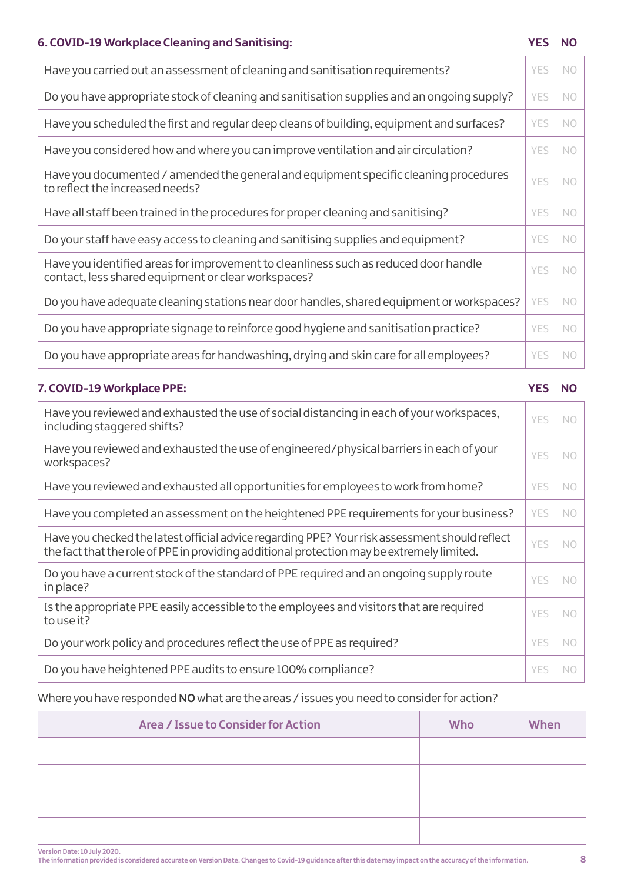# **6. COVID-19 Workplace Cleaning and Sanitising: YES NO**

| Have you carried out an assessment of cleaning and sanitisation requirements?                                                               | YES        | N <sub>O</sub> |
|---------------------------------------------------------------------------------------------------------------------------------------------|------------|----------------|
| Do you have appropriate stock of cleaning and sanitisation supplies and an ongoing supply?                                                  | YES        | NO             |
| Have you scheduled the first and regular deep cleans of building, equipment and surfaces?                                                   | YES        | N <sub>O</sub> |
| Have you considered how and where you can improve ventilation and air circulation?                                                          | <b>YES</b> | N <sub>O</sub> |
| Have you documented / amended the general and equipment specific cleaning procedures<br>to reflect the increased needs?                     | YES        | N <sub>O</sub> |
| Have all staff been trained in the procedures for proper cleaning and sanitising?                                                           | YES        | N <sub>O</sub> |
| Do your staff have easy access to cleaning and sanitising supplies and equipment?                                                           | YES        | N <sub>O</sub> |
| Have you identified areas for improvement to cleanliness such as reduced door handle<br>contact, less shared equipment or clear workspaces? | YES        | N <sub>O</sub> |
| Do you have adequate cleaning stations near door handles, shared equipment or workspaces?                                                   | YES        | N <sub>O</sub> |
| Do you have appropriate signage to reinforce good hygiene and sanitisation practice?                                                        | YES        | N <sub>O</sub> |
| Do you have appropriate areas for handwashing, drying and skin care for all employees?                                                      | YES        | NO             |
|                                                                                                                                             |            |                |

# Have you reviewed and exhausted the use of social distancing in each of your workspaces,  $\rm \phantom{0}$   $\rm \gamma ES$   $\rm \phantom{0}$  NO  $\rm \gamma$ Have you reviewed and exhausted the use of engineered/physical barriers in each of your  $\vert$   $_{\rm YES}$   $\vert$   $_{\rm NO}$ Have you reviewed and exhausted all opportunities for employees to work from home?  $\vert$  YES  $\vert$  NO Have you completed an assessment on the heightened PPE requirements for your business?  $\parallel$  YES  $\parallel$  NO Have you checked the latest official advice regarding PPE? Your risk assessment should reflect the fact that the role of PPE in providing additional protection may be extremely limited.  $YES|NO$ Do you have a current stock of the standard of PPE required and an ongoing supply route  $\bigg| \begin{array}{c} \gamma \in \mathbb{S} \end{array} \bigg| \begin{array}{c} \gamma \in \mathbb{S} \end{array}$ Is the appropriate PPE easily accessible to the employees and visitors that are required  $\vert$  YES  $\vert$  NO Do your work policy and procedures reflect the use of PPE as required?  $\vert$  YES  $\vert$  NO Do you have heightened PPE audits to ensure 100% compliance? The Matteo of the SNO of the SNO of the NO **7. COVID-19 Workplace PPE: YES NO**

### Where you have responded **NO** what are the areas / issues you need to consider for action?

| Area / Issue to Consider for Action | Who | When |
|-------------------------------------|-----|------|
|                                     |     |      |
|                                     |     |      |
|                                     |     |      |
|                                     |     |      |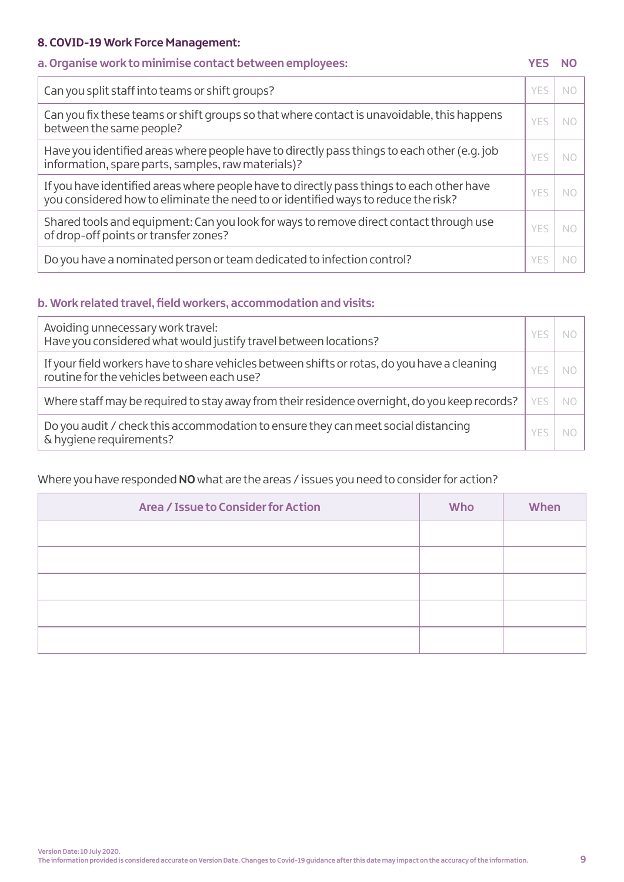# **8. COVID-19 Work Force Management:**

# **a. Organise work to minimise contact between employees: YES NO**

| Can you split staff into teams or shift groups?                                                                                                                                 | YFS | NC. |
|---------------------------------------------------------------------------------------------------------------------------------------------------------------------------------|-----|-----|
| Can you fix these teams or shift groups so that where contact is unavoidable, this happens<br>between the same people?                                                          | YFS | NO  |
| Have you identified areas where people have to directly pass things to each other (e.g. job<br>information, spare parts, samples, raw materials)?                               | YFS | NC. |
| If you have identified areas where people have to directly pass things to each other have<br>you considered how to eliminate the need to or identified ways to reduce the risk? | YFS | NС  |
| Shared tools and equipment: Can you look for ways to remove direct contact through use<br>of drop-off points or transfer zones?                                                 | YFS | NС  |
| Do you have a nominated person or team dedicated to infection control?                                                                                                          | ۷F۱ |     |

# **b. Work related travel, field workers, accommodation and visits:**

| Avoiding unnecessary work travel:<br>Have you considered what would justify travel between locations?                                      |     |    |
|--------------------------------------------------------------------------------------------------------------------------------------------|-----|----|
| If your field workers have to share vehicles between shifts or rotas, do you have a cleaning<br>routine for the vehicles between each use? |     |    |
| Where staff may be required to stay away from their residence overnight, do you keep records?                                              | YFS | NC |
| Do you audit / check this accommodation to ensure they can meet social distancing<br>& hygiene requirements?                               |     |    |

# Where you have responded **NO** what are the areas / issues you need to consider for action?

| Area / Issue to Consider for Action | <b>Who</b> | When |
|-------------------------------------|------------|------|
|                                     |            |      |
|                                     |            |      |
|                                     |            |      |
|                                     |            |      |
|                                     |            |      |